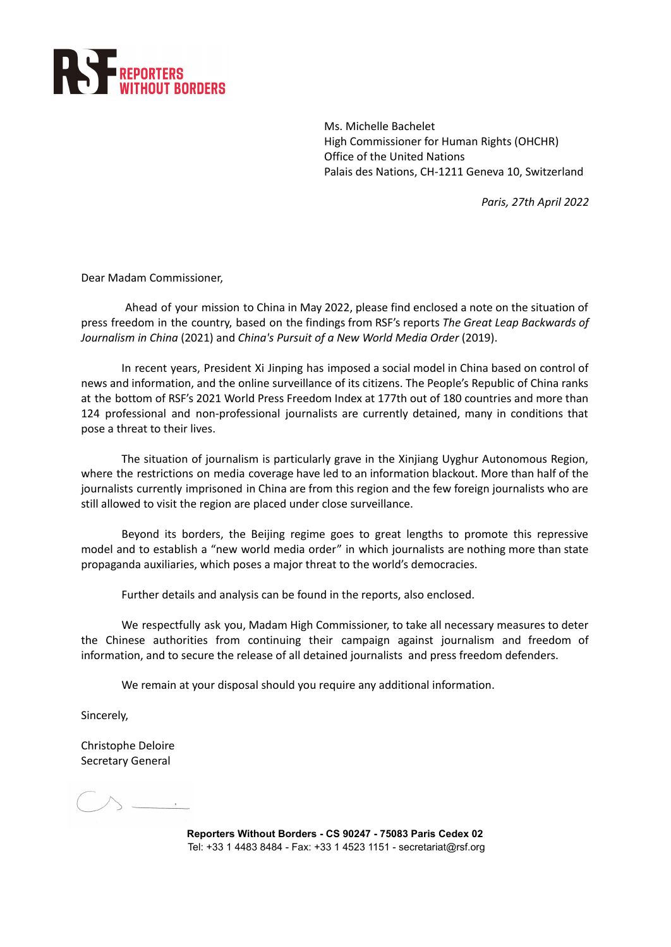

Ms. Michelle Bachelet High Commissioner for Human Rights (OHCHR) Office of the United Nations Palais des Nations, CH-1211 Geneva 10, Switzerland

*Paris, 27th April 2022*

Dear Madam Commissioner,

Ahead of your mission to China in May 2022, please find enclosed a note on the situation of press freedom in the country, based on the findings from RSF's reports *The Great Leap [Backwards](https://rsf.org/sites/default/files/2021-01-31_china_report_en__4.pdf) of [Journalism](https://rsf.org/sites/default/files/2021-01-31_china_report_en__4.pdf) in China* (2021) and *China's Pursuit of a New World Media Order* (2019).

In recent years, President Xi Jinping has imposed a social model in China based on control of news and information, and the online surveillance of its citizens. The People's Republic of China ranks at the bottom of RSF's 2021 World Press Freedom Index at 177th out of 180 countries and more than 124 professional and non-professional journalists are currently detained, many in conditions that pose a threat to their lives.

The situation of journalism is particularly grave in the Xinjiang Uyghur Autonomous Region, where the restrictions on media coverage have led to an information blackout. More than half of the journalists currently imprisoned in China are from this region and the few foreign journalists who are still allowed to visit the region are placed under close surveillance.

Beyond its borders, the Beijing regime goes to great lengths to promote this repressive model and to establish a "new world media order" in which journalists are nothing more than state propaganda auxiliaries, which poses a major threat to the world's democracies.

Further details and analysis can be found in the reports, also enclosed.

We respectfully ask you, Madam High Commissioner, to take all necessary measures to deter the Chinese authorities from continuing their campaign against journalism and freedom of information, and to secure the release of all detained journalists and press freedom defenders.

We remain at your disposal should you require any additional information.

Sincerely,

Christophe Deloire Secretary General

 $\wedge$  .

**Reporters Without Borders - CS 90247 - 75083 Paris Cedex 02** Tel: +33 1 4483 8484 - Fax: +33 1 4523 1151 - secretariat@rsf.org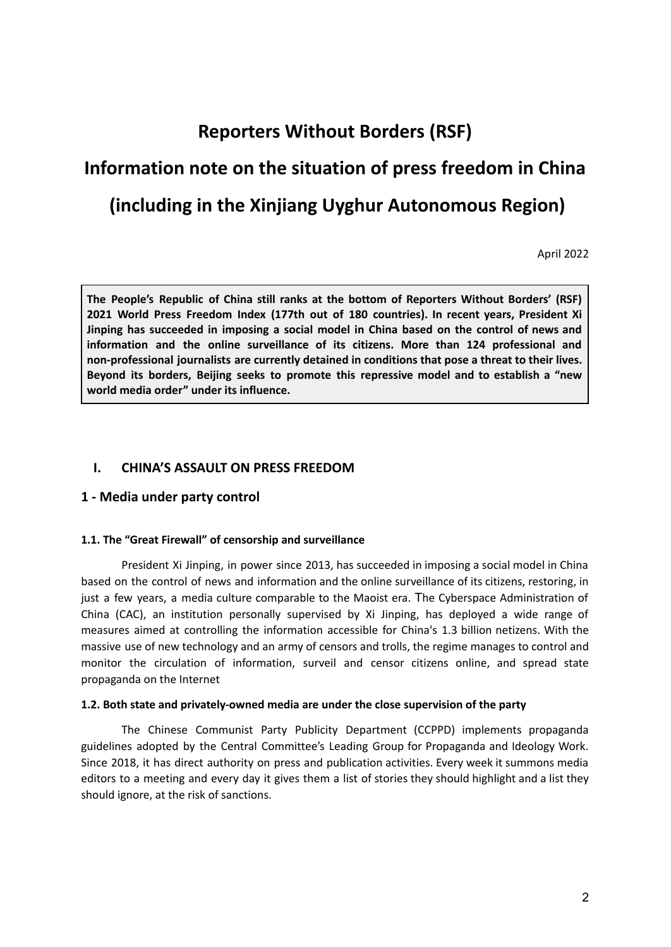# **Reporters Without Borders (RSF)**

# **Information note on the situation of press freedom in China**

# **(including in the Xinjiang Uyghur Autonomous Region)**

April 2022

**The People's Republic of China still ranks at the bottom of Reporters Without Borders' (RSF) 2021 World Press Freedom Index (177th out of 180 countries). In recent years, President Xi Jinping has succeeded in imposing a social model in China based on the control of news and information and the online surveillance of its citizens. More than 124 professional and non-professional journalists are currently detained in conditions that pose a threat to their lives. Beyond its borders, Beijing seeks to promote this repressive model and to establish a "new world media order" under its influence.**

# **I. CHINA'S ASSAULT ON PRESS FREEDOM**

# **1 - Media under party control**

#### **1.1. The "Great Firewall" of censorship and surveillance**

President Xi Jinping, in power since 2013, has succeeded in imposing a social model in China based on the control of news and information and the online surveillance of its citizens, restoring, in just a few years, a media culture comparable to the Maoist era. The Cyberspace Administration of China (CAC), an institution personally supervised by Xi Jinping, has deployed a wide range of measures aimed at controlling the information accessible for China's 1.3 billion netizens. With the massive use of new technology and an army of censors and trolls, the regime manages to control and monitor the circulation of information, surveil and censor citizens online, and spread state propaganda on the Internet

#### **1.2. Both state and privately-owned media are under the close supervision of the party**

The Chinese Communist Party Publicity Department (CCPPD) implements propaganda guidelines adopted by the Central Committee's Leading Group for Propaganda and Ideology Work. Since 2018, it has direct authority on press and publication activities. Every week it summons media editors to a meeting and every day it gives them a list of stories they should highlight and a list they should ignore, at the risk of sanctions.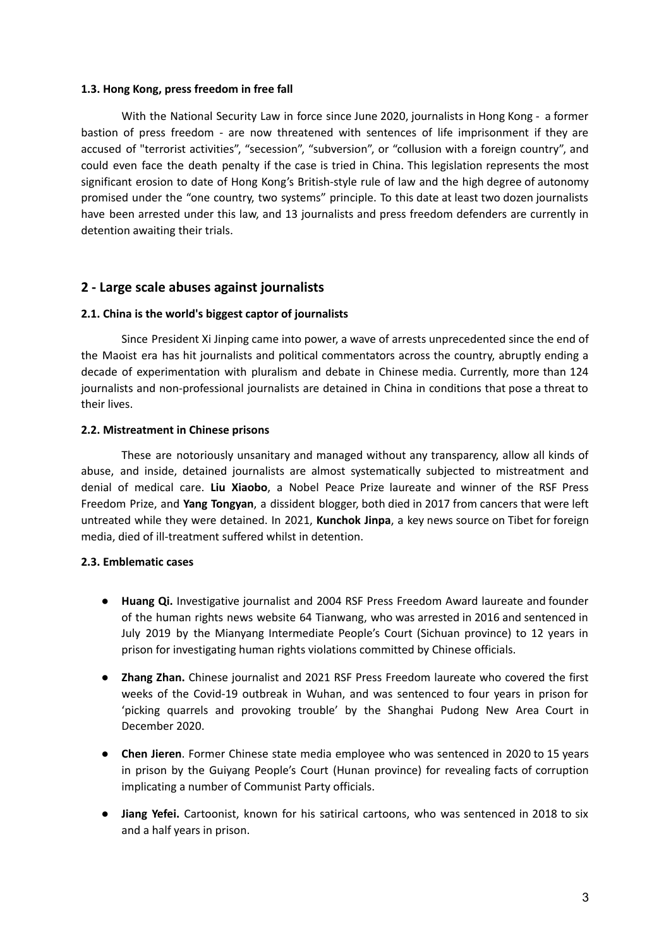#### **1.3. Hong Kong, press freedom in free fall**

With the National Security Law in force since June 2020, journalists in Hong Kong - a former bastion of press freedom - are now threatened with sentences of life imprisonment if they are accused of "terrorist activities", "secession", "subversion", or "collusion with a foreign country", and could even face the death penalty if the case is tried in China. This legislation represents the most significant erosion to date of Hong Kong's British-style rule of law and the high degree of autonomy promised under the "one country, two systems" principle. To this date at least two dozen journalists have been arrested under this law, and 13 journalists and press freedom defenders are currently in detention awaiting their trials.

# **2 - Large scale abuses against journalists**

# **2.1. China is the world's biggest captor of journalists**

Since President Xi Jinping came into power, a wave of arrests unprecedented since the end of the Maoist era has hit journalists and political commentators across the country, abruptly ending a decade of experimentation with pluralism and debate in Chinese media. Currently, more than 124 journalists and non-professional journalists are detained in China in conditions that pose a threat to their lives.

# **2.2. Mistreatment in Chinese prisons**

These are notoriously unsanitary and managed without any transparency, allow all kinds of abuse, and inside, detained journalists are almost systematically subjected to mistreatment and denial of medical care. **Liu Xiaobo**, a Nobel Peace Prize laureate and winner of the RSF Press Freedom Prize, and **Yang Tongyan**, a dissident blogger, both died in 2017 from cancers that were left untreated while they were detained. In 2021, **Kunchok Jinpa**, a key news source on Tibet for foreign media, died of ill-treatment suffered whilst in detention.

# **2.3. Emblematic cases**

- **Huang Qi.** Investigative journalist and 2004 RSF Press Freedom Award laureate and founder of the human rights news website 64 Tianwang, who was arrested in 2016 and sentenced in July 2019 by the Mianyang Intermediate People's Court (Sichuan province) to 12 years in prison for investigating human rights violations committed by Chinese officials.
- **Zhang Zhan.** Chinese journalist and 2021 RSF Press Freedom laureate who covered the first weeks of the Covid-19 outbreak in Wuhan, and was sentenced to four years in prison for 'picking quarrels and provoking trouble' by the Shanghai Pudong New Area Court in December 2020.
- **Chen Jieren**. Former Chinese state media employee who was sentenced in 2020 to 15 years in prison by the Guiyang People's Court (Hunan province) for revealing facts of corruption implicating a number of Communist Party officials.
- **Jiang Yefei.** Cartoonist, known for his satirical cartoons, who was sentenced in 2018 to six and a half years in prison.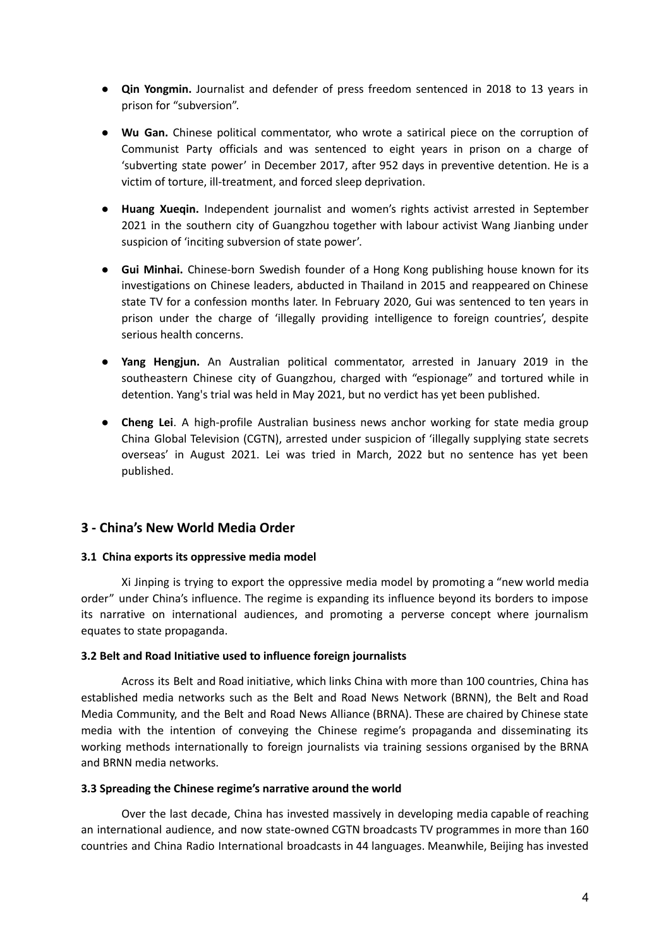- **Qin Yongmin.** Journalist and defender of press freedom sentenced in 2018 to 13 years in prison for "subversion".
- **● Wu Gan.** Chinese political commentator, who wrote a satirical piece on the corruption of Communist Party officials and was sentenced to eight years in prison on a charge of 'subverting state power' in December 2017, after 952 days in preventive detention. He is a victim of torture, ill-treatment, and forced sleep deprivation.
- **Huang Xueqin.** Independent journalist and women's rights activist arrested in September 2021 in the southern city of Guangzhou together with labour activist Wang Jianbing under suspicion of 'inciting subversion of state power'.
- **Gui Minhai.** Chinese-born Swedish founder of a Hong Kong publishing house known for its investigations on Chinese leaders, abducted in Thailand in 2015 and reappeared on Chinese state TV for a confession months later. In February 2020, Gui was sentenced to ten years in prison under the charge of 'illegally providing intelligence to foreign countries', despite serious health concerns.
- **Yang Hengjun.** An Australian political commentator, arrested in January 2019 in the southeastern Chinese city of Guangzhou, charged with "espionage" and tortured while in detention. Yang's trial was held in May 2021, but no verdict has yet been published.
- **Cheng Lei**. A high-profile Australian business news anchor working for state media group China Global Television (CGTN), arrested under suspicion of 'illegally supplying state secrets overseas' in August 2021. Lei was tried in March, 2022 but no sentence has yet been published.

# **3 - China's New World Media Order**

#### **3.1 China exports its oppressive media model**

Xi Jinping is trying to export the oppressive media model by promoting a "new world media order" under China's influence. The regime is expanding its influence beyond its borders to impose its narrative on international audiences, and promoting a perverse concept where journalism equates to state propaganda.

#### **3.2 Belt and Road Initiative used to influence foreign journalists**

Across its Belt and Road initiative, which links China with more than 100 countries, China has established media networks such as the Belt and Road News Network (BRNN), the Belt and Road Media Community, and the Belt and Road News Alliance (BRNA). These are chaired by Chinese state media with the intention of conveying the Chinese regime's propaganda and disseminating its working methods internationally to foreign journalists via training sessions organised by the BRNA and BRNN media networks.

#### **3.3 Spreading the Chinese regime's narrative around the world**

Over the last decade, China has invested massively in developing media capable of reaching an international audience, and now state-owned CGTN broadcasts TV programmes in more than 160 countries and China Radio International broadcasts in 44 languages. Meanwhile, Beijing has invested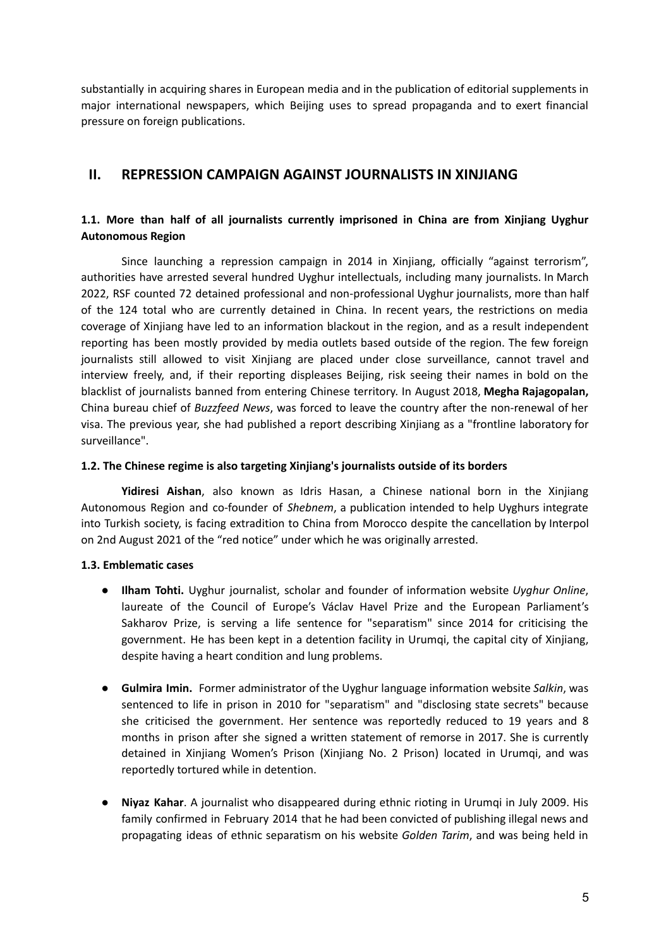substantially in acquiring shares in European media and in the publication of editorial supplements in major international newspapers, which Beijing uses to spread propaganda and to exert financial pressure on foreign publications.

# **II. REPRESSION CAMPAIGN AGAINST JOURNALISTS IN XINJIANG**

# **1.1. More than half of all journalists currently imprisoned in China are from Xinjiang Uyghur Autonomous Region**

Since launching a repression campaign in 2014 in Xinjiang, officially "against terrorism", authorities have arrested several hundred Uyghur intellectuals, including many journalists. In March 2022, RSF counted 72 detained professional and non-professional Uyghur journalists, more than half of the 124 total who are currently detained in China. In recent years, the restrictions on media coverage of Xinjiang have led to an information blackout in the region, and as a result independent reporting has been mostly provided by media outlets based outside of the region. The few foreign journalists still allowed to visit Xinjiang are placed under close surveillance, cannot travel and interview freely, and, if their reporting displeases Beijing, risk seeing their names in bold on the blacklist of journalists banned from entering Chinese territory. In August 2018, **Megha Rajagopalan,** China bureau chief of *Buzzfeed News*, was forced to leave the country after the non-renewal of her visa. The previous year, she had published a report describing Xinjiang as a "frontline laboratory for surveillance".

# **1.2. The Chinese regime is also targeting Xinjiang's journalists outside of its borders**

**Yidiresi Aishan**, also known as Idris Hasan, a Chinese national born in the Xinjiang Autonomous Region and co-founder of *Shebnem*, a publication intended to help Uyghurs integrate into Turkish society, is facing extradition to China from Morocco despite the cancellation by Interpol on 2nd August 2021 of the "red notice" under which he was originally arrested.

# **1.3. Emblematic cases**

- **Ilham Tohti.** Uyghur journalist, scholar and founder of information website *Uyghur Online*, laureate of the Council of Europe's Václav Havel Prize and the European Parliament's Sakharov Prize, is serving a life sentence for "separatism" since 2014 for criticising the government. He has been kept in a detention facility in Urumqi, the capital city of Xinjiang, despite having a heart condition and lung problems.
- **Gulmira Imin.** Former administrator of the Uyghur language information website *Salkin*, was sentenced to life in prison in 2010 for "separatism" and "disclosing state secrets" because she criticised the government. Her sentence was reportedly reduced to 19 years and 8 months in prison after she signed a written statement of remorse in 2017. She is currently detained in Xinjiang Women's Prison (Xinjiang No. 2 Prison) located in Urumqi, and was reportedly tortured while in detention.
- **Niyaz Kahar**. A journalist who disappeared during ethnic rioting in Urumqi in July 2009. His family confirmed in February 2014 that he had been convicted of publishing illegal news and propagating ideas of ethnic separatism on his website *Golden Tarim*, and was being held in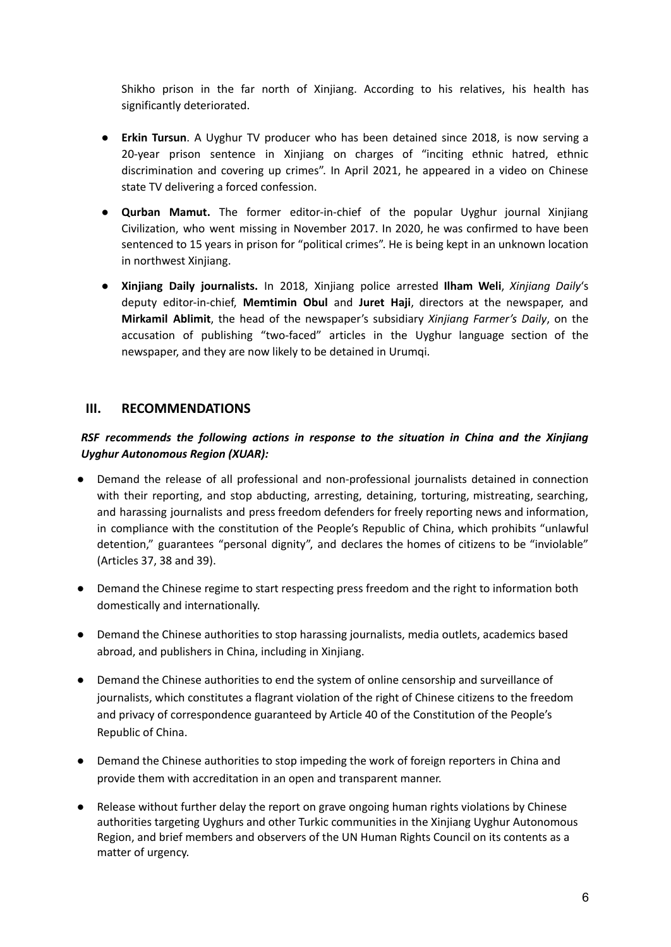Shikho prison in the far north of Xinjiang. According to his relatives, his health has significantly deteriorated.

- **Erkin Tursun**. A Uyghur TV producer who has been detained since 2018, is now serving a 20-year prison sentence in Xinjiang on charges of "inciting ethnic hatred, ethnic discrimination and covering up crimes". In April 2021, he appeared in a video on Chinese state TV delivering a forced confession.
- **● Qurban Mamut.** The former editor-in-chief of the popular Uyghur journal Xinjiang Civilization, who went missing in November 2017. In 2020, he was confirmed to have been sentenced to 15 years in prison for "political crimes". He is being kept in an unknown location in northwest Xinjiang.
- **● Xinjiang Daily journalists.** In 2018, Xinjiang police arrested **Ilham Weli**, *Xinjiang Daily*'s deputy editor-in-chief, **Memtimin Obul** and **Juret Haji**, directors at the newspaper, and **Mirkamil Ablimit**, the head of the newspaper's subsidiary *Xinjiang Farmer's Daily*, on the accusation of publishing "two-faced" articles in the Uyghur language section of the newspaper, and they are now likely to be detained in Urumqi.

# **III. RECOMMENDATIONS**

# *RSF recommends the following actions in response to the situation in China and the Xinjiang Uyghur Autonomous Region (XUAR):*

- Demand the release of all professional and non-professional journalists detained in connection with their reporting, and stop abducting, arresting, detaining, torturing, mistreating, searching, and harassing journalists and press freedom defenders for freely reporting news and information, in compliance with the constitution of the People's Republic of China, which prohibits "unlawful detention," guarantees "personal dignity", and declares the homes of citizens to be "inviolable" (Articles 37, 38 and 39).
- Demand the Chinese regime to start respecting press freedom and the right to information both domestically and internationally.
- Demand the Chinese authorities to stop harassing journalists, media outlets, academics based abroad, and publishers in China, including in Xinjiang.
- Demand the Chinese authorities to end the system of online censorship and surveillance of journalists, which constitutes a flagrant violation of the right of Chinese citizens to the freedom and privacy of correspondence guaranteed by Article 40 of the Constitution of the People's Republic of China.
- Demand the Chinese authorities to stop impeding the work of foreign reporters in China and provide them with accreditation in an open and transparent manner.
- Release without further delay the report on grave ongoing human rights violations by Chinese authorities targeting Uyghurs and other Turkic communities in the Xinjiang Uyghur Autonomous Region, and brief members and observers of the UN Human Rights Council on its contents as a matter of urgency.